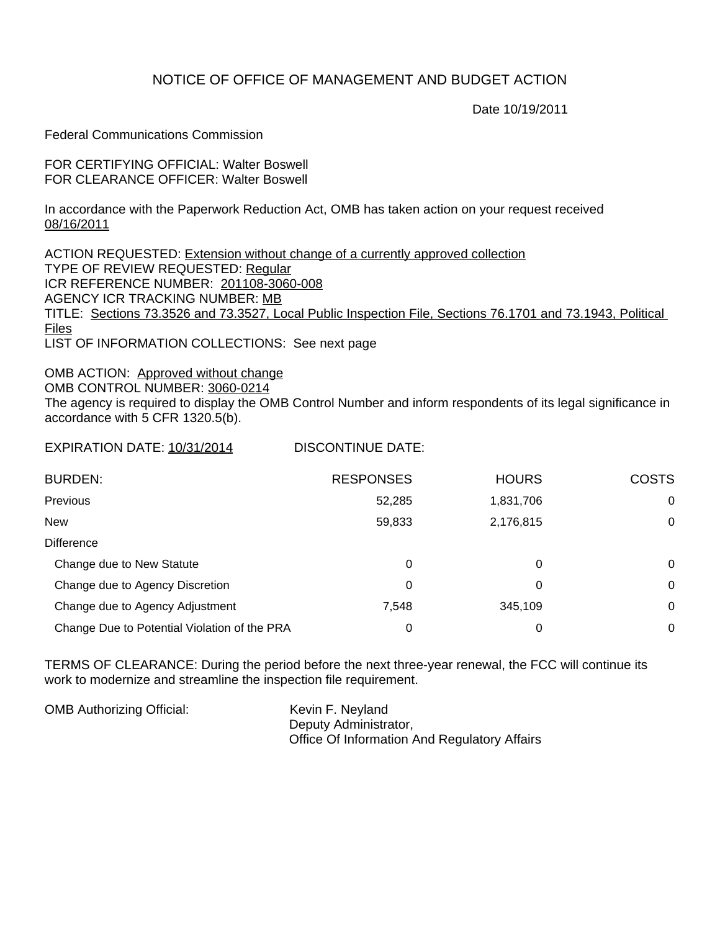## NOTICE OF OFFICE OF MANAGEMENT AND BUDGET ACTION

Date 10/19/2011

Federal Communications Commission

FOR CERTIFYING OFFICIAL: Walter Boswell FOR CLEARANCE OFFICER: Walter Boswell

In accordance with the Paperwork Reduction Act, OMB has taken action on your request received 08/16/2011

ACTION REQUESTED: Extension without change of a currently approved collection TYPE OF REVIEW REQUESTED: Regular ICR REFERENCE NUMBER: 201108-3060-008 AGENCY ICR TRACKING NUMBER: MB TITLE: Sections 73.3526 and 73.3527, Local Public Inspection File, Sections 76.1701 and 73.1943, Political Files

LIST OF INFORMATION COLLECTIONS: See next page

OMB ACTION: Approved without change OMB CONTROL NUMBER: 3060-0214 The agency is required to display the OMB Control Number and inform respondents of its legal significance in accordance with 5 CFR 1320.5(b).

EXPIRATION DATE: 10/31/2014 DISCONTINUE DATE:

| <b>BURDEN:</b>                               | <b>RESPONSES</b> | <b>HOURS</b> | <b>COSTS</b> |
|----------------------------------------------|------------------|--------------|--------------|
| Previous                                     | 52,285           | 1,831,706    | 0            |
| <b>New</b>                                   | 59,833           | 2,176,815    | 0            |
| <b>Difference</b>                            |                  |              |              |
| Change due to New Statute                    | 0                | 0            | 0            |
| Change due to Agency Discretion              | 0                | 0            | 0            |
| Change due to Agency Adjustment              | 7,548            | 345.109      | 0            |
| Change Due to Potential Violation of the PRA | 0                | 0            | 0            |

TERMS OF CLEARANCE: During the period before the next three-year renewal, the FCC will continue its work to modernize and streamline the inspection file requirement.

| <b>OMB Authorizing Official:</b> | Kevin F. Neyland                                    |
|----------------------------------|-----------------------------------------------------|
|                                  | Deputy Administrator,                               |
|                                  | <b>Office Of Information And Regulatory Affairs</b> |